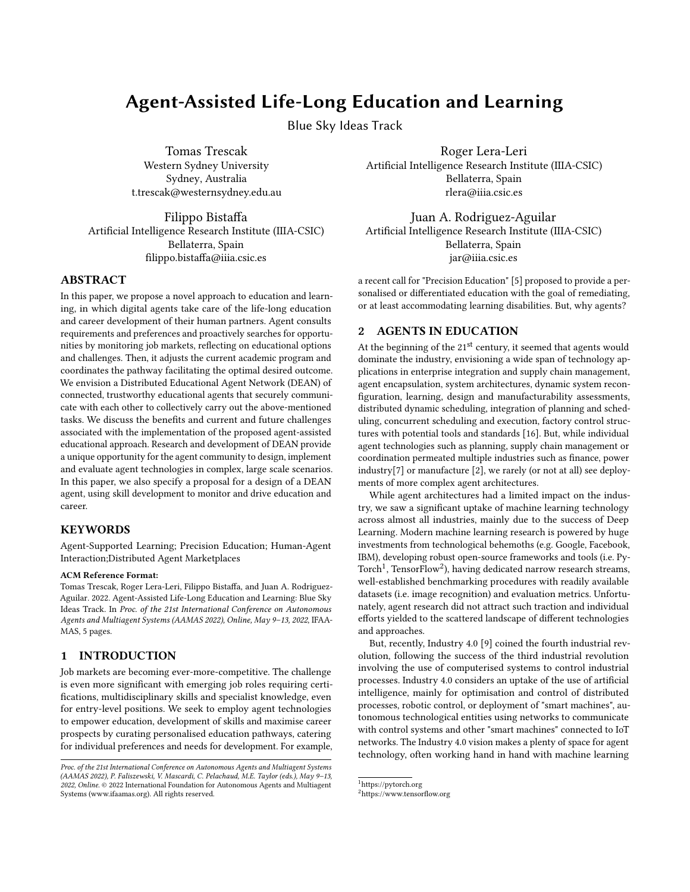# Agent-Assisted Life-Long Education and Learning

Blue Sky Ideas Track

Tomas Trescak Western Sydney University Sydney, Australia t.trescak@westernsydney.edu.au

Filippo Bistaffa Artificial Intelligence Research Institute (IIIA-CSIC) Bellaterra, Spain filippo.bistaffa@iiia.csic.es

## ABSTRACT

In this paper, we propose a novel approach to education and learning, in which digital agents take care of the life-long education and career development of their human partners. Agent consults requirements and preferences and proactively searches for opportunities by monitoring job markets, reflecting on educational options and challenges. Then, it adjusts the current academic program and coordinates the pathway facilitating the optimal desired outcome. We envision a Distributed Educational Agent Network (DEAN) of connected, trustworthy educational agents that securely communicate with each other to collectively carry out the above-mentioned tasks. We discuss the benefits and current and future challenges associated with the implementation of the proposed agent-assisted educational approach. Research and development of DEAN provide a unique opportunity for the agent community to design, implement and evaluate agent technologies in complex, large scale scenarios. In this paper, we also specify a proposal for a design of a DEAN agent, using skill development to monitor and drive education and career.

#### KEYWORDS

Agent-Supported Learning; Precision Education; Human-Agent Interaction;Distributed Agent Marketplaces

#### ACM Reference Format:

Tomas Trescak, Roger Lera-Leri, Filippo Bistaffa, and Juan A. Rodriguez-Aguilar. 2022. Agent-Assisted Life-Long Education and Learning: Blue Sky Ideas Track. In Proc. of the 21st International Conference on Autonomous Agents and Multiagent Systems (AAMAS 2022), Online, May 9–13, 2022, IFAA-MAS, [5](#page-4-0) pages.

## 1 INTRODUCTION

Job markets are becoming ever-more-competitive. The challenge is even more significant with emerging job roles requiring certifications, multidisciplinary skills and specialist knowledge, even for entry-level positions. We seek to employ agent technologies to empower education, development of skills and maximise career prospects by curating personalised education pathways, catering for individual preferences and needs for development. For example,

Roger Lera-Leri Artificial Intelligence Research Institute (IIIA-CSIC) Bellaterra, Spain rlera@iiia.csic.es

Juan A. Rodriguez-Aguilar Artificial Intelligence Research Institute (IIIA-CSIC) Bellaterra, Spain jar@iiia.csic.es

a recent call for "Precision Education" [\[5\]](#page-4-1) proposed to provide a personalised or differentiated education with the goal of remediating, or at least accommodating learning disabilities. But, why agents?

# 2 AGENTS IN EDUCATION

At the beginning of the  $21<sup>st</sup>$  century, it seemed that agents would dominate the industry, envisioning a wide span of technology applications in enterprise integration and supply chain management, agent encapsulation, system architectures, dynamic system reconfiguration, learning, design and manufacturability assessments, distributed dynamic scheduling, integration of planning and scheduling, concurrent scheduling and execution, factory control structures with potential tools and standards [\[16\]](#page-4-2). But, while individual agent technologies such as planning, supply chain management or coordination permeated multiple industries such as finance, power industry[\[7\]](#page-4-3) or manufacture [\[2\]](#page-4-4), we rarely (or not at all) see deployments of more complex agent architectures.

While agent architectures had a limited impact on the industry, we saw a significant uptake of machine learning technology across almost all industries, mainly due to the success of Deep Learning. Modern machine learning research is powered by huge investments from technological behemoths (e.g. Google, Facebook, IBM), developing robust open-source frameworks and tools (i.e. Py- $\text{Torch}^1$  $\text{Torch}^1$ ,  $\text{TensorFlow}^2$  $\text{TensorFlow}^2$ ), having dedicated narrow research streams, well-established benchmarking procedures with readily available datasets (i.e. image recognition) and evaluation metrics. Unfortunately, agent research did not attract such traction and individual efforts yielded to the scattered landscape of different technologies and approaches.

But, recently, Industry 4.0 [\[9\]](#page-4-5) coined the fourth industrial revolution, following the success of the third industrial revolution involving the use of computerised systems to control industrial processes. Industry 4.0 considers an uptake of the use of artificial intelligence, mainly for optimisation and control of distributed processes, robotic control, or deployment of "smart machines", autonomous technological entities using networks to communicate with control systems and other "smart machines" connected to IoT networks. The Industry 4.0 vision makes a plenty of space for agent technology, often working hand in hand with machine learning

Proc. of the 21st International Conference on Autonomous Agents and Multiagent Systems (AAMAS 2022), P. Faliszewski, V. Mascardi, C. Pelachaud, M.E. Taylor (eds.), May 9–13, 2022, Online. © 2022 International Foundation for Autonomous Agents and Multiagent Systems (www.ifaamas.org). All rights reserved.

<span id="page-0-0"></span> $^{\rm 1}$ <https://pytorch.org>

<span id="page-0-1"></span><sup>2</sup><https://www.tensorflow.org>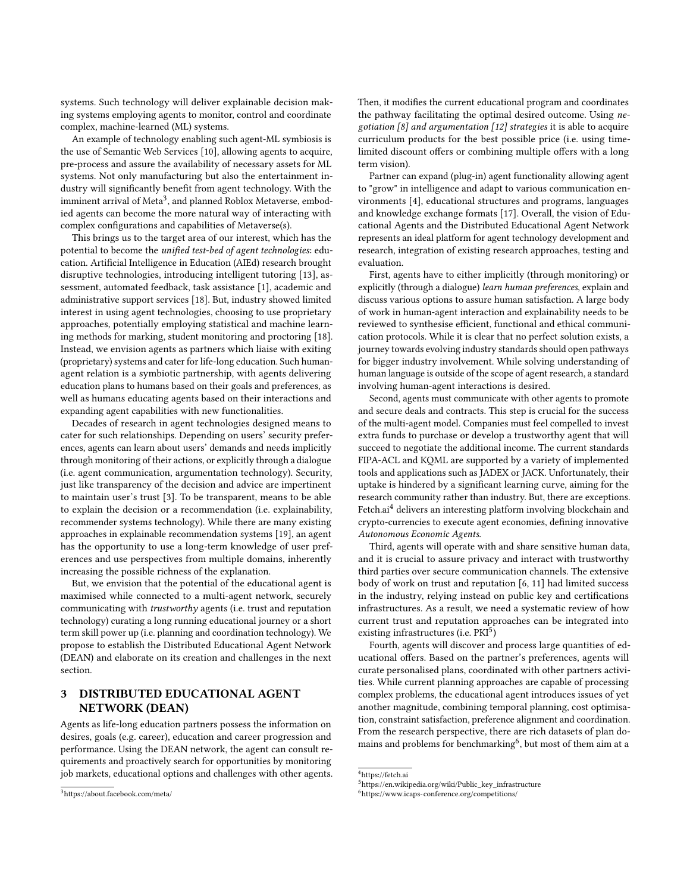systems. Such technology will deliver explainable decision making systems employing agents to monitor, control and coordinate complex, machine-learned (ML) systems.

An example of technology enabling such agent-ML symbiosis is the use of Semantic Web Services [\[10\]](#page-4-6), allowing agents to acquire, pre-process and assure the availability of necessary assets for ML systems. Not only manufacturing but also the entertainment industry will significantly benefit from agent technology. With the imminent arrival of Meta $^3$  $^3$ , and planned Roblox Metaverse, embodied agents can become the more natural way of interacting with complex configurations and capabilities of Metaverse(s).

This brings us to the target area of our interest, which has the potential to become the unified test-bed of agent technologies: education. Artificial Intelligence in Education (AIEd) research brought disruptive technologies, introducing intelligent tutoring [\[13\]](#page-4-7), assessment, automated feedback, task assistance [\[1\]](#page-4-8), academic and administrative support services [\[18\]](#page-4-9). But, industry showed limited interest in using agent technologies, choosing to use proprietary approaches, potentially employing statistical and machine learning methods for marking, student monitoring and proctoring [\[18\]](#page-4-9). Instead, we envision agents as partners which liaise with exiting (proprietary) systems and cater for life-long education. Such humanagent relation is a symbiotic partnership, with agents delivering education plans to humans based on their goals and preferences, as well as humans educating agents based on their interactions and expanding agent capabilities with new functionalities.

Decades of research in agent technologies designed means to cater for such relationships. Depending on users' security preferences, agents can learn about users' demands and needs implicitly through monitoring of their actions, or explicitly through a dialogue (i.e. agent communication, argumentation technology). Security, just like transparency of the decision and advice are impertinent to maintain user's trust [\[3\]](#page-4-10). To be transparent, means to be able to explain the decision or a recommendation (i.e. explainability, recommender systems technology). While there are many existing approaches in explainable recommendation systems [\[19\]](#page-4-11), an agent has the opportunity to use a long-term knowledge of user preferences and use perspectives from multiple domains, inherently increasing the possible richness of the explanation.

But, we envision that the potential of the educational agent is maximised while connected to a multi-agent network, securely communicating with trustworthy agents (i.e. trust and reputation technology) curating a long running educational journey or a short term skill power up (i.e. planning and coordination technology). We propose to establish the Distributed Educational Agent Network (DEAN) and elaborate on its creation and challenges in the next section.

# 3 DISTRIBUTED EDUCATIONAL AGENT NETWORK (DEAN)

Agents as life-long education partners possess the information on desires, goals (e.g. career), education and career progression and performance. Using the DEAN network, the agent can consult requirements and proactively search for opportunities by monitoring job markets, educational options and challenges with other agents.

Then, it modifies the current educational program and coordinates the pathway facilitating the optimal desired outcome. Using ne-gotiation [\[8\]](#page-4-12) and argumentation [\[12\]](#page-4-13) strategies it is able to acquire curriculum products for the best possible price (i.e. using timelimited discount offers or combining multiple offers with a long term vision).

Partner can expand (plug-in) agent functionality allowing agent to "grow" in intelligence and adapt to various communication environments [\[4\]](#page-4-14), educational structures and programs, languages and knowledge exchange formats [\[17\]](#page-4-15). Overall, the vision of Educational Agents and the Distributed Educational Agent Network represents an ideal platform for agent technology development and research, integration of existing research approaches, testing and evaluation.

First, agents have to either implicitly (through monitoring) or explicitly (through a dialogue) learn human preferences, explain and discuss various options to assure human satisfaction. A large body of work in human-agent interaction and explainability needs to be reviewed to synthesise efficient, functional and ethical communication protocols. While it is clear that no perfect solution exists, a journey towards evolving industry standards should open pathways for bigger industry involvement. While solving understanding of human language is outside of the scope of agent research, a standard involving human-agent interactions is desired.

Second, agents must communicate with other agents to promote and secure deals and contracts. This step is crucial for the success of the multi-agent model. Companies must feel compelled to invest extra funds to purchase or develop a trustworthy agent that will succeed to negotiate the additional income. The current standards FIPA-ACL and KQML are supported by a variety of implemented tools and applications such as JADEX or JACK. Unfortunately, their uptake is hindered by a significant learning curve, aiming for the research community rather than industry. But, there are exceptions. Fetch.ai<sup>[4](#page-1-1)</sup> delivers an interesting platform involving blockchain and crypto-currencies to execute agent economies, defining innovative Autonomous Economic Agents.

Third, agents will operate with and share sensitive human data, and it is crucial to assure privacy and interact with trustworthy third parties over secure communication channels. The extensive body of work on trust and reputation [\[6,](#page-4-16) [11\]](#page-4-17) had limited success in the industry, relying instead on public key and certifications infrastructures. As a result, we need a systematic review of how current trust and reputation approaches can be integrated into existing infrastructures (i.e. PKI<sup>[5](#page-1-2)</sup>)

Fourth, agents will discover and process large quantities of educational offers. Based on the partner's preferences, agents will curate personalised plans, coordinated with other partners activities. While current planning approaches are capable of processing complex problems, the educational agent introduces issues of yet another magnitude, combining temporal planning, cost optimisation, constraint satisfaction, preference alignment and coordination. From the research perspective, there are rich datasets of plan domains and problems for benchmarking $^6$  $^6$ , but most of them aim at a

<span id="page-1-0"></span><sup>3</sup><https://about.facebook.com/meta/>

<span id="page-1-1"></span><sup>4</sup><https://fetch.ai>

<span id="page-1-2"></span><sup>5</sup>[https://en.wikipedia.org/wiki/Public\\_key\\_infrastructure](https://en.wikipedia.org/wiki/Public_key_infrastructure)

<span id="page-1-3"></span><sup>6</sup><https://www.icaps-conference.org/competitions/>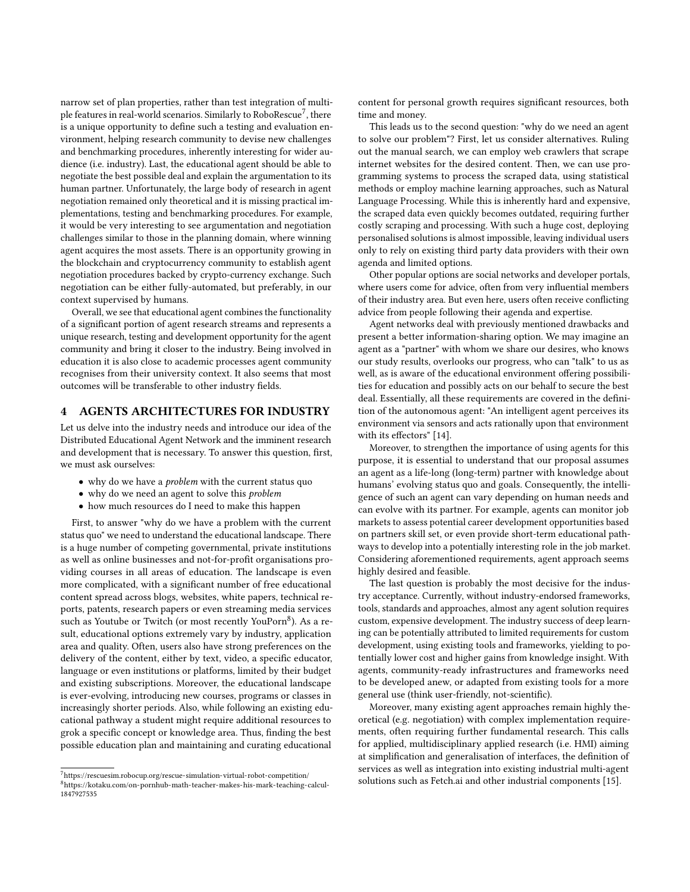narrow set of plan properties, rather than test integration of multi-ple features in real-world scenarios. Similarly to RoboRescue<sup>[7](#page-2-0)</sup>, there is a unique opportunity to define such a testing and evaluation environment, helping research community to devise new challenges and benchmarking procedures, inherently interesting for wider audience (i.e. industry). Last, the educational agent should be able to negotiate the best possible deal and explain the argumentation to its human partner. Unfortunately, the large body of research in agent negotiation remained only theoretical and it is missing practical implementations, testing and benchmarking procedures. For example, it would be very interesting to see argumentation and negotiation challenges similar to those in the planning domain, where winning agent acquires the most assets. There is an opportunity growing in the blockchain and cryptocurrency community to establish agent negotiation procedures backed by crypto-currency exchange. Such negotiation can be either fully-automated, but preferably, in our context supervised by humans.

Overall, we see that educational agent combines the functionality of a significant portion of agent research streams and represents a unique research, testing and development opportunity for the agent community and bring it closer to the industry. Being involved in education it is also close to academic processes agent community recognises from their university context. It also seems that most outcomes will be transferable to other industry fields.

# 4 AGENTS ARCHITECTURES FOR INDUSTRY

Let us delve into the industry needs and introduce our idea of the Distributed Educational Agent Network and the imminent research and development that is necessary. To answer this question, first, we must ask ourselves:

- why do we have a *problem* with the current status quo
- why do we need an agent to solve this problem
- how much resources do I need to make this happen

First, to answer "why do we have a problem with the current status quo" we need to understand the educational landscape. There is a huge number of competing governmental, private institutions as well as online businesses and not-for-profit organisations providing courses in all areas of education. The landscape is even more complicated, with a significant number of free educational content spread across blogs, websites, white papers, technical reports, patents, research papers or even streaming media services such as Youtube or Twitch (or most recently YouPorn<sup>[8](#page-2-1)</sup>). As a result, educational options extremely vary by industry, application area and quality. Often, users also have strong preferences on the delivery of the content, either by text, video, a specific educator, language or even institutions or platforms, limited by their budget and existing subscriptions. Moreover, the educational landscape is ever-evolving, introducing new courses, programs or classes in increasingly shorter periods. Also, while following an existing educational pathway a student might require additional resources to grok a specific concept or knowledge area. Thus, finding the best possible education plan and maintaining and curating educational

content for personal growth requires significant resources, both time and money.

This leads us to the second question: "why do we need an agent to solve our problem"? First, let us consider alternatives. Ruling out the manual search, we can employ web crawlers that scrape internet websites for the desired content. Then, we can use programming systems to process the scraped data, using statistical methods or employ machine learning approaches, such as Natural Language Processing. While this is inherently hard and expensive, the scraped data even quickly becomes outdated, requiring further costly scraping and processing. With such a huge cost, deploying personalised solutions is almost impossible, leaving individual users only to rely on existing third party data providers with their own agenda and limited options.

Other popular options are social networks and developer portals, where users come for advice, often from very influential members of their industry area. But even here, users often receive conflicting advice from people following their agenda and expertise.

Agent networks deal with previously mentioned drawbacks and present a better information-sharing option. We may imagine an agent as a "partner" with whom we share our desires, who knows our study results, overlooks our progress, who can "talk" to us as well, as is aware of the educational environment offering possibilities for education and possibly acts on our behalf to secure the best deal. Essentially, all these requirements are covered in the definition of the autonomous agent: "An intelligent agent perceives its environment via sensors and acts rationally upon that environment with its effectors" [\[14\]](#page-4-18).

Moreover, to strengthen the importance of using agents for this purpose, it is essential to understand that our proposal assumes an agent as a life-long (long-term) partner with knowledge about humans' evolving status quo and goals. Consequently, the intelligence of such an agent can vary depending on human needs and can evolve with its partner. For example, agents can monitor job markets to assess potential career development opportunities based on partners skill set, or even provide short-term educational pathways to develop into a potentially interesting role in the job market. Considering aforementioned requirements, agent approach seems highly desired and feasible.

The last question is probably the most decisive for the industry acceptance. Currently, without industry-endorsed frameworks, tools, standards and approaches, almost any agent solution requires custom, expensive development. The industry success of deep learning can be potentially attributed to limited requirements for custom development, using existing tools and frameworks, yielding to potentially lower cost and higher gains from knowledge insight. With agents, community-ready infrastructures and frameworks need to be developed anew, or adapted from existing tools for a more general use (think user-friendly, not-scientific).

Moreover, many existing agent approaches remain highly theoretical (e.g. negotiation) with complex implementation requirements, often requiring further fundamental research. This calls for applied, multidisciplinary applied research (i.e. HMI) aiming at simplification and generalisation of interfaces, the definition of services as well as integration into existing industrial multi-agent solutions such as Fetch.ai and other industrial components [\[15\]](#page-4-19).

<span id="page-2-1"></span><span id="page-2-0"></span> $^7\rm{https://rescuesim.robocup.org/rescue-simulation-virtual-robot-competition/}$  $^7\rm{https://rescuesim.robocup.org/rescue-simulation-virtual-robot-competition/}$  $^7\rm{https://rescuesim.robocup.org/rescue-simulation-virtual-robot-competition/}$  $8$ [https://kotaku.com/on-pornhub-math-teacher-makes-his-mark-teaching-calcul-](https://kotaku.com/on-pornhub-math-teacher-makes-his-mark-teaching-calcul-1847927535)[1847927535](https://kotaku.com/on-pornhub-math-teacher-makes-his-mark-teaching-calcul-1847927535)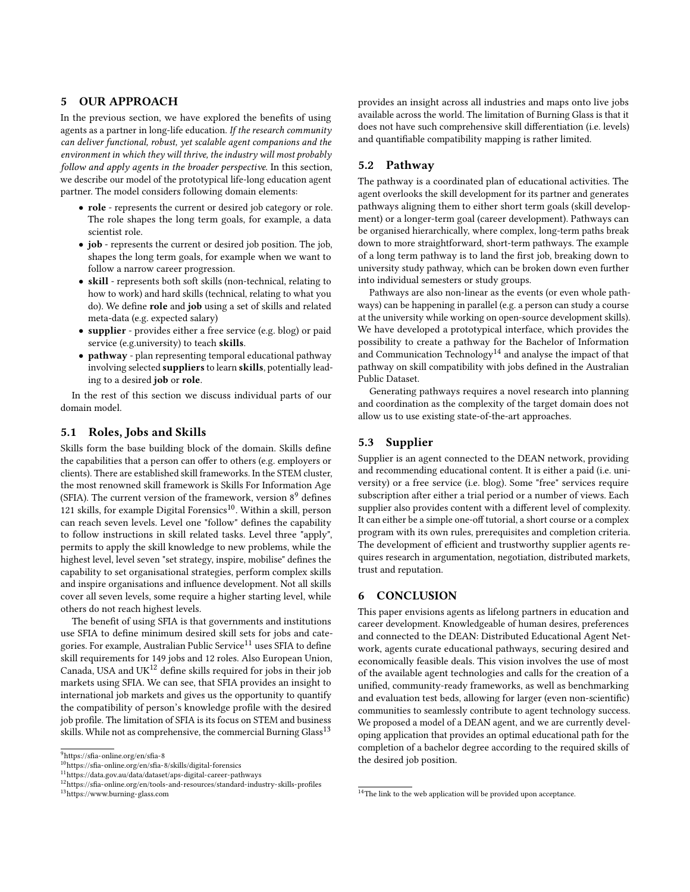# 5 OUR APPROACH

In the previous section, we have explored the benefits of using agents as a partner in long-life education. If the research community can deliver functional, robust, yet scalable agent companions and the environment in which they will thrive, the industry will most probably follow and apply agents in the broader perspective. In this section, we describe our model of the prototypical life-long education agent partner. The model considers following domain elements:

- role represents the current or desired job category or role. The role shapes the long term goals, for example, a data scientist role.
- job represents the current or desired job position. The job, shapes the long term goals, for example when we want to follow a narrow career progression.
- skill represents both soft skills (non-technical, relating to how to work) and hard skills (technical, relating to what you do). We define role and job using a set of skills and related meta-data (e.g. expected salary)
- supplier provides either a free service (e.g. blog) or paid service (e.g.university) to teach skills.
- pathway plan representing temporal educational pathway involving selected suppliers to learn skills, potentially leading to a desired job or role.

In the rest of this section we discuss individual parts of our domain model.

### 5.1 Roles, Jobs and Skills

Skills form the base building block of the domain. Skills define the capabilities that a person can offer to others (e.g. employers or clients). There are established skill frameworks. In the STEM cluster, the most renowned skill framework is Skills For Information Age (SFIA). The current version of the framework, version  $8<sup>9</sup>$  $8<sup>9</sup>$  $8<sup>9</sup>$  defines 121 skills, for example Digital Forensics $^{10}$  $^{10}$  $^{10}$ . Within a skill, person can reach seven levels. Level one "follow" defines the capability to follow instructions in skill related tasks. Level three "apply", permits to apply the skill knowledge to new problems, while the highest level, level seven "set strategy, inspire, mobilise" defines the capability to set organisational strategies, perform complex skills and inspire organisations and influence development. Not all skills cover all seven levels, some require a higher starting level, while others do not reach highest levels.

The benefit of using SFIA is that governments and institutions use SFIA to define minimum desired skill sets for jobs and cate-gories. For example, Australian Public Service<sup>[11](#page-3-2)</sup> uses SFIA to define skill requirements for 149 jobs and 12 roles. Also European Union, Canada, USA and UK $^{12}$  $^{12}$  $^{12}$  define skills required for jobs in their job markets using SFIA. We can see, that SFIA provides an insight to international job markets and gives us the opportunity to quantify the compatibility of person's knowledge profile with the desired job profile. The limitation of SFIA is its focus on STEM and business skills. While not as comprehensive, the commercial Burning Glass<sup>[13](#page-3-4)</sup>

<span id="page-3-4"></span><sup>13</sup><https://www.burning-glass.com>

provides an insight across all industries and maps onto live jobs available across the world. The limitation of Burning Glass is that it does not have such comprehensive skill differentiation (i.e. levels) and quantifiable compatibility mapping is rather limited.

## 5.2 Pathway

The pathway is a coordinated plan of educational activities. The agent overlooks the skill development for its partner and generates pathways aligning them to either short term goals (skill development) or a longer-term goal (career development). Pathways can be organised hierarchically, where complex, long-term paths break down to more straightforward, short-term pathways. The example of a long term pathway is to land the first job, breaking down to university study pathway, which can be broken down even further into individual semesters or study groups.

Pathways are also non-linear as the events (or even whole pathways) can be happening in parallel (e.g. a person can study a course at the university while working on open-source development skills). We have developed a prototypical interface, which provides the possibility to create a pathway for the Bachelor of Information and Communication Technology<sup>[14](#page-3-5)</sup> and analyse the impact of that pathway on skill compatibility with jobs defined in the Australian Public Dataset.

Generating pathways requires a novel research into planning and coordination as the complexity of the target domain does not allow us to use existing state-of-the-art approaches.

### 5.3 Supplier

Supplier is an agent connected to the DEAN network, providing and recommending educational content. It is either a paid (i.e. university) or a free service (i.e. blog). Some "free" services require subscription after either a trial period or a number of views. Each supplier also provides content with a different level of complexity. It can either be a simple one-off tutorial, a short course or a complex program with its own rules, prerequisites and completion criteria. The development of efficient and trustworthy supplier agents requires research in argumentation, negotiation, distributed markets, trust and reputation.

#### 6 CONCLUSION

This paper envisions agents as lifelong partners in education and career development. Knowledgeable of human desires, preferences and connected to the DEAN: Distributed Educational Agent Network, agents curate educational pathways, securing desired and economically feasible deals. This vision involves the use of most of the available agent technologies and calls for the creation of a unified, community-ready frameworks, as well as benchmarking and evaluation test beds, allowing for larger (even non-scientific) communities to seamlessly contribute to agent technology success. We proposed a model of a DEAN agent, and we are currently developing application that provides an optimal educational path for the completion of a bachelor degree according to the required skills of the desired job position.

<span id="page-3-0"></span><sup>9</sup><https://sfia-online.org/en/sfia-8>

<span id="page-3-1"></span><sup>10</sup><https://sfia-online.org/en/sfia-8/skills/digital-forensics>

<span id="page-3-2"></span><sup>11</sup><https://data.gov.au/data/dataset/aps-digital-career-pathways>

<span id="page-3-3"></span> $^{12}{\rm https://sfia-online.org/en/tools-and-resources/standard-industry-skills-profiles}$  $^{12}{\rm https://sfia-online.org/en/tools-and-resources/standard-industry-skills-profiles}$  $^{12}{\rm https://sfia-online.org/en/tools-and-resources/standard-industry-skills-profiles}$ 

<span id="page-3-5"></span><sup>&</sup>lt;sup>14</sup>The link to the web application will be provided upon acceptance.